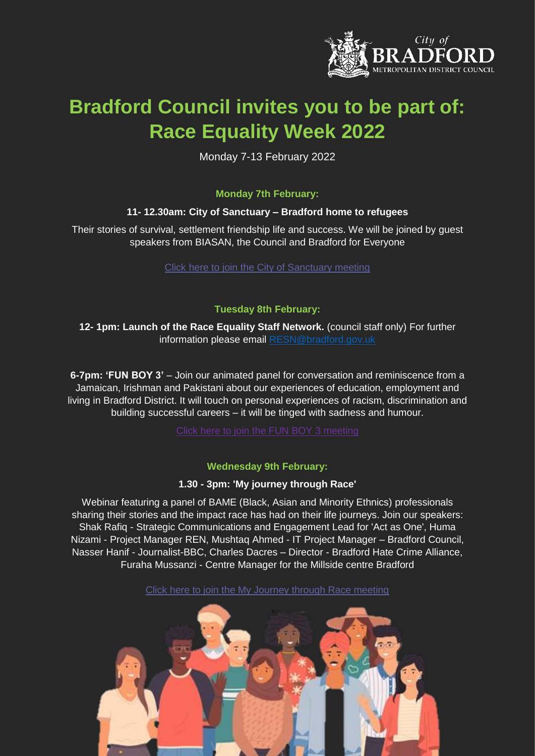

# **Bradford Council invites you to be part of: Race Equality Week 2022**

Monday 7-13 February 2022

### **Monday 7th February:**

#### **11- 12.30am: City of Sanctuary – Bradford home to refugees**

Their stories of survival, settlement friendship life and success. We will be joined by guest speakers from BIASAN, the Council and Bradford for Everyone

[Click here to join the City of Sanctuary meeting](https://teams.microsoft.com/l/meetup-join/19%3ameeting_OTJmNDNlOGItMzQ0My00ZjhlLTkyZTgtMWY0ZjVhMzg2MjJk%40thread.v2/0?context=%7b%22Tid%22%3a%2228b8dfd0-aa16-412c-9b26-b845b9acd1a9%22%2c%22Oid%22%3a%22b06baeeb-0f2d-4896-bbb0-9a487f0e5be1%22%7d)

#### **Tuesday 8th February:**

**12- 1pm: Launch of the Race Equality Staff Network.** (council staff only) For further information please email [RESN@bradford.gov.uk](mailto:RESN@bradford.gov.uk)

**6-7pm: 'FUN BOY 3'** – Join our animated panel for conversation and reminiscence from a Jamaican, Irishman and Pakistani about our experiences of education, employment and living in Bradford District. It will touch on personal experiences of racism, discrimination and building successful careers – it will be tinged with sadness and humour.

### **Wednesday 9th February:**

### **1.30 - 3pm: 'My journey through Race'**

Webinar featuring a panel of BAME (Black, Asian and Minority Ethnics) professionals sharing their stories and the impact race has had on their life journeys. Join our speakers: Shak Rafiq - Strategic Communications and Engagement Lead for 'Act as One', Huma Nizami - Project Manager REN, Mushtaq Ahmed - IT Project Manager – Bradford Council, Nasser Hanif - Journalist-BBC, Charles Dacres – Director - Bradford Hate Crime Alliance, Furaha Mussanzi - Centre Manager for the Millside centre Bradford

[Click here to join the My Journey through Race meeting](https://teams.microsoft.com/l/meetup-join/19%3ameeting_MzJkODE2MTMtZTRmYS00MDU1LTgwMzUtNmEyMTNlYTkwNGUw%40thread.v2/0?context=%7b%22Tid%22%3a%2228b8dfd0-aa16-412c-9b26-b845b9acd1a9%22%2c%22Oid%22%3a%22b06baeeb-0f2d-4896-bbb0-9a487f0e5be1%22%7d)